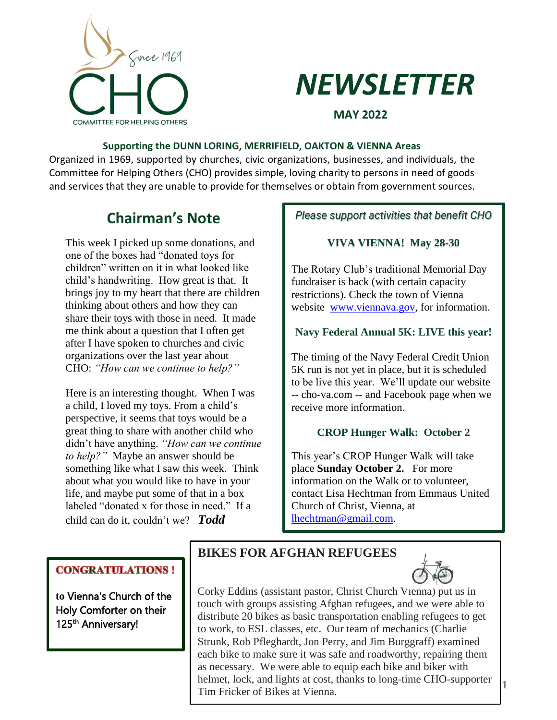



**MAY 2022**

#### **Supporting the DUNN LORING, MERRIFIELD, OAKTON & VIENNA Areas**

Organized in 1969, supported by churches, civic organizations, businesses, and individuals, the Committee for Helping Others (CHO) provides simple, loving charity to persons in need of goods and services that they are unable to provide for themselves or obtain from government sources.

# **Chairman's Note**

This week I picked up some donations, and one of the boxes had "donated toys for children" written on it in what looked like child's handwriting. How great is that. It brings joy to my heart that there are children thinking about others and how they can share their toys with those in need. It made me think about a question that I often get after I have spoken to churches and civic organizations over the last year about CHO: *"How can we continue to help?"*

Here is an interesting thought. When I was a child, I loved my toys. From a child's perspective, it seems that toys would be a great thing to share with another child who didn't have anything. *"How can we continue to help?"* Maybe an answer should be something like what I saw this week. Think about what you would like to have in your life, and maybe put some of that in a box labeled "donated x for those in need." If a child can do it, couldn't we? *Todd*

*Please support activities that benefit CHO*

## **VIVA VIENNA! May 28-30**

The Rotary Club's traditional Memorial Day fundraiser is back (with certain capacity restrictions). Check the town of Vienna website [www.viennava.gov,](http://www.viennava.gov/) for information.

### **Navy Federal Annual 5K: LIVE this year!**

The timing of the Navy Federal Credit Union 5K run is not yet in place, but it is scheduled to be live this year. We'll update our website -- cho-va.com -- and Facebook page when we receive more information.

## **CROP Hunger Walk: October 2**

This year's CROP Hunger Walk will take place **Sunday October 2.** For more information on the Walk or to volunteer, contact Lisa Hechtman from Emmaus United Church of Christ, Vienna, at [lhechtman@gmail.com.](mailto:lhechtman@gmail.com)

## **CONGRATULATIONS!**

**to** Vienna's Church of the Holy Comforter on their 125<sup>th</sup> Anniversary!

# **BIKES FOR AFGHAN REFUGEES**



1

Corky Eddins (assistant pastor, Christ Church Vienna) put us in touch with groups assisting Afghan refugees, and we were able to distribute 20 bikes as basic transportation enabling refugees to get to work, to ESL classes, etc. Our team of mechanics (Charlie Strunk, Rob Pfleghardt, Jon Perry, and Jim Burggraff) examined each bike to make sure it was safe and roadworthy, repairing them as necessary. We were able to equip each bike and biker with helmet, lock, and lights at cost, thanks to long-time CHO-supporter Tim Fricker of Bikes at Vienna.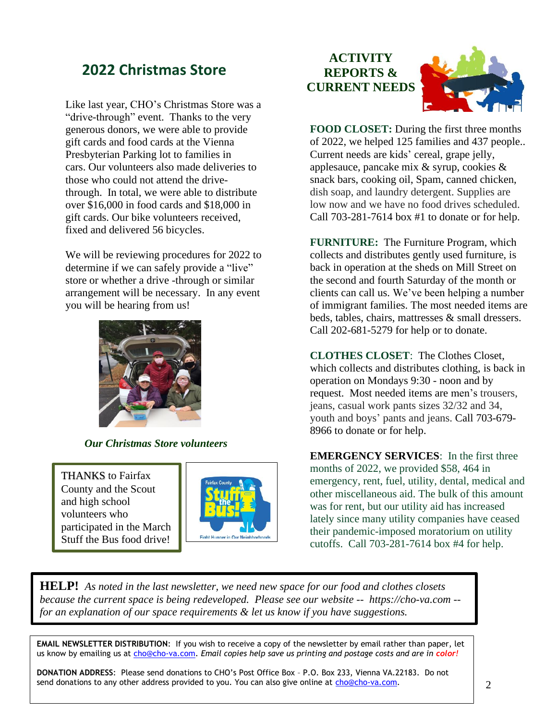# **2022 Christmas Store**

Like last year, CHO's Christmas Store was a "drive-through" event. Thanks to the very generous donors, we were able to provide gift cards and food cards at the Vienna Presbyterian Parking lot to families in cars. Our volunteers also made deliveries to those who could not attend the drivethrough. In total, we were able to distribute over \$16,000 in food cards and \$18,000 in gift cards. Our bike volunteers received, fixed and delivered 56 bicycles.

We will be reviewing procedures for 2022 to determine if we can safely provide a "live" store or whether a drive -through or similar arrangement will be necessary. In any event you will be hearing from us!



 *Our Christmas Store volunteers*

THANKS to Fairfax County and the Scout and high school volunteers who participated in the March Stuff the Bus food drive!

!



# **ACTIVITY REPORTS & CURRENT NEEDS**



**FOOD CLOSET:** During the first three months of 2022, we helped 125 families and 437 people.. Current needs are kids' cereal, grape jelly, applesauce, pancake mix & syrup, cookies & snack bars, cooking oil, Spam, canned chicken, dish soap, and laundry detergent. Supplies are low now and we have no food drives scheduled. Call 703-281-7614 box #1 to donate or for help.

**FURNITURE:** The Furniture Program, which collects and distributes gently used furniture, is back in operation at the sheds on Mill Street on the second and fourth Saturday of the month or clients can call us. We've been helping a number of immigrant families. The most needed items are beds, tables, chairs, mattresses & small dressers. Call 202-681-5279 for help or to donate.

**CLOTHES CLOSET**: The Clothes Closet, which collects and distributes clothing, is back in operation on Mondays 9:30 - noon and by request. Most needed items are men's trousers, jeans, casual work pants sizes 32/32 and 34, youth and boys' pants and jeans. Call 703-679- 8966 to donate or for help.

**EMERGENCY SERVICES**: In the first three months of 2022, we provided \$58, 464 in emergency, rent, fuel, utility, dental, medical and other miscellaneous aid. The bulk of this amount was for rent, but our utility aid has increased lately since many utility companies have ceased their pandemic-imposed moratorium on utility cutoffs. Call 703-281-7614 box #4 for help.

**HELP!** *As noted in the last newsletter, we need new space for our food and clothes closets because the current space is being redeveloped. Please see our website -- https://cho-va.com - for an explanation of our space requirements & let us know if you have suggestions.* 

**EMAIL NEWSLETTER DISTRIBUTION**: If you wish to receive a copy of the newsletter by email rather than paper, let us know by emailing us at [cho@cho-va.com.](mailto:cho@cho-va.com) Email copies help save us printing and postage costs and are in color!

**DONATION ADDRESS**: Please send donations to CHO's Post Office Box – P.O. Box 233, Vienna VA.22183. Do not send donations to any other address provided to you. You can also give online at [cho@cho-va.com.](mailto:cho@cho-va.com)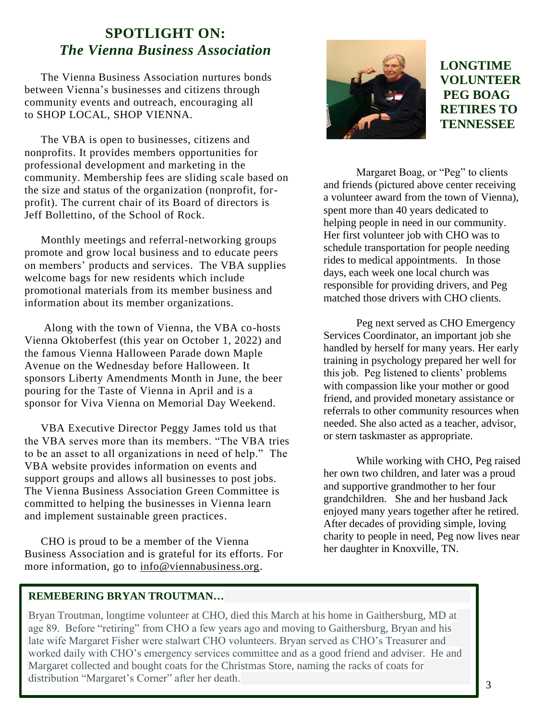# **SPOTLIGHT ON:**  *The Vienna Business Association*

The Vienna Business Association nurtures bonds between Vienna's businesses and citizens through community events and outreach, encouraging all to SHOP LOCAL, SHOP VIENNA.

The VBA is open to businesses, citizens and nonprofits. It provides members opportunities for professional development and marketing in the community. Membership fees are sliding scale based on the size and status of the organization (nonprofit, forprofit). The current chair of its Board of directors is Jeff Bollettino, of the School of Rock.

Monthly meetings and referral-networking groups promote and grow local business and to educate peers on members' products and services. The VBA supplies welcome bags for new residents which include promotional materials from its member business and information about its member organizations.

Along with the town of Vienna, the VBA co-hosts Vienna Oktoberfest (this year on October 1, 2022) and the famous Vienna Halloween Parade down Maple Avenue on the Wednesday before Halloween. It sponsors Liberty Amendments Month in June, the beer pouring for the Taste of Vienna in April and is a sponsor for Viva Vienna on Memorial Day Weekend.

VBA Executive Director Peggy James told us that the VBA serves more than its members. "The VBA tries to be an asset to all organizations in need of help." The VBA website provides information on events and support groups and allows all businesses to post jobs. The Vienna Business Association Green Committee is committed to helping the businesses in Vienna learn and implement sustainable green practices.

CHO is proud to be a member of the Vienna Business Association and is grateful for its efforts. For more information, go to [info@viennabusiness.org.](mailto:info@viennabusiness.org)



**LONGTIME VOLUNTEER PEG BOAG RETIRES TO TENNESSEE**

Margaret Boag, or "Peg" to clients and friends (pictured above center receiving a volunteer award from the town of Vienna), spent more than 40 years dedicated to helping people in need in our community. Her first volunteer job with CHO was to schedule transportation for people needing rides to medical appointments. In those days, each week one local church was responsible for providing drivers, and Peg matched those drivers with CHO clients.

Peg next served as CHO Emergency Services Coordinator, an important job she handled by herself for many years. Her early training in psychology prepared her well for this job. Peg listened to clients' problems with compassion like your mother or good friend, and provided monetary assistance or referrals to other community resources when needed. She also acted as a teacher, advisor, or stern taskmaster as appropriate.

While working with CHO, Peg raised her own two children, and later was a proud and supportive grandmother to her four grandchildren. She and her husband Jack enjoyed many years together after he retired. After decades of providing simple, loving charity to people in need, Peg now lives near her daughter in Knoxville, TN.

## **REMEBERING BRYAN TROUTMAN…**

Bryan Troutman, longtime volunteer at CHO, died this March at his home in Gaithersburg, MD at age 89. Before "retiring" from CHO a few years ago and moving to Gaithersburg, Bryan and his late wife Margaret Fisher were stalwart CHO volunteers. Bryan served as CHO's Treasurer and worked daily with CHO's emergency services committee and as a good friend and adviser. He and Margaret collected and bought coats for the Christmas Store, naming the racks of coats for distribution "Margaret's Corner" after her death.